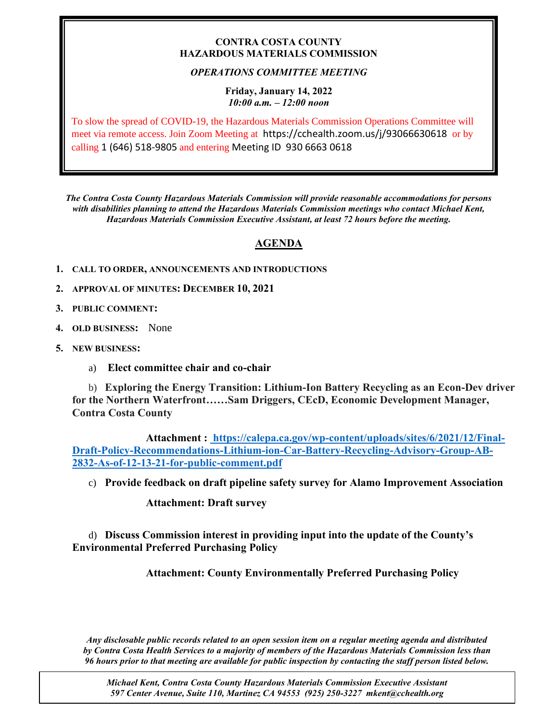### **CONTRA COSTA COUNTY HAZARDOUS MATERIALS COMMISSION**

# *OPERATIONS COMMITTEE MEETING*

### **Friday, January 14, 2022** *10:00 a.m. – 12:00 noon*

To slow the spread of COVID-19, the Hazardous Materials Commission Operations Committee will meet via remote access. Join Zoom Meeting at https://cchealth.zoom.us/j/93066630618 or by calling 1 (646) 518-9805 and entering Meeting ID 930 6663 0618

*The Contra Costa County Hazardous Materials Commission will provide reasonable accommodations for persons with disabilities planning to attend the Hazardous Materials Commission meetings who contact Michael Kent, Hazardous Materials Commission Executive Assistant, at least 72 hours before the meeting.*

# **AGENDA**

- **1. CALL TO ORDER, ANNOUNCEMENTS AND INTRODUCTIONS**
- **2. APPROVAL OF MINUTES: DECEMBER 10, 2021**
- **3. PUBLIC COMMENT:**
- **4. OLD BUSINESS:** None
- **5. NEW BUSINESS:**
	- a) **Elect committee chair and co-chair**

b) **Exploring the Energy Transition: Lithium-Ion Battery Recycling as an Econ-Dev driver for the Northern Waterfront……Sam Driggers, CEcD, Economic Development Manager, Contra Costa County**

**Attachment : [https://calepa.ca.gov/wp-content/uploads/sites/6/2021/12/Final-](https://calepa.ca.gov/wp-content/uploads/sites/6/2021/12/Final-Draft-Policy-Recommendations-Lithium-ion-Car-Battery-Recycling-Advisory-Group-AB-2832-As-of-12-13-21-for-public-comment.pdf)[Draft-Policy-Recommendations-Lithium-ion-Car-Battery-Recycling-Advisory-Group-AB-](https://calepa.ca.gov/wp-content/uploads/sites/6/2021/12/Final-Draft-Policy-Recommendations-Lithium-ion-Car-Battery-Recycling-Advisory-Group-AB-2832-As-of-12-13-21-for-public-comment.pdf)[2832-As-of-12-13-21-for-public-comment.pdf](https://calepa.ca.gov/wp-content/uploads/sites/6/2021/12/Final-Draft-Policy-Recommendations-Lithium-ion-Car-Battery-Recycling-Advisory-Group-AB-2832-As-of-12-13-21-for-public-comment.pdf)**

c) **Provide feedback on draft pipeline safety survey for Alamo Improvement Association**

## **Attachment: Draft survey**

d) **Discuss Commission interest in providing input into the update of the County's Environmental Preferred Purchasing Policy**

**Attachment: County Environmentally Preferred Purchasing Policy**

*Any disclosable public records related to an open session item on a regular meeting agenda and distributed by Contra Costa Health Services to a majority of members of the Hazardous Materials Commission less than 96 hours prior to that meeting are available for public inspection by contacting the staff person listed below.* 

*Michael Kent, Contra Costa County Hazardous Materials Commission Executive Assistant 597 Center Avenue, Suite 110, Martinez CA 94553 (925) 250-3227 mkent@cchealth.org*